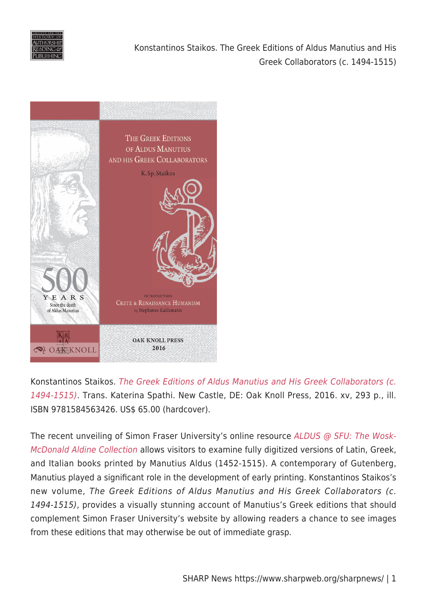



Konstantinos Staikos. [The Greek Editions of Aldus Manutius and His Greek Collaborators \(c.](https://www.oakknoll.com/pages/books/127162/konstantinos-sp-staikos/greek-editions-of-aldus-manutius-and-his-greek-collaborators-the) [1494-1515\)](https://www.oakknoll.com/pages/books/127162/konstantinos-sp-staikos/greek-editions-of-aldus-manutius-and-his-greek-collaborators-the). Trans. Katerina Spathi. New Castle, DE: Oak Knoll Press, 2016. xv, 293 p., ill. ISBN 9781584563426. US\$ 65.00 (hardcover).

The recent unveiling of Simon Fraser University's online resource [ALDUS @ SFU: The Wosk-](http://aldine.lib.sfu.ca/)[McDonald Aldine Collection](http://aldine.lib.sfu.ca/) allows visitors to examine fully digitized versions of Latin, Greek, and Italian books printed by Manutius Aldus (1452-1515). A contemporary of Gutenberg, Manutius played a significant role in the development of early printing. Konstantinos Staikos's new volume, The Greek Editions of Aldus Manutius and His Greek Collaborators (c. 1494-1515), provides a visually stunning account of Manutius's Greek editions that should complement Simon Fraser University's website by allowing readers a chance to see images from these editions that may otherwise be out of immediate grasp.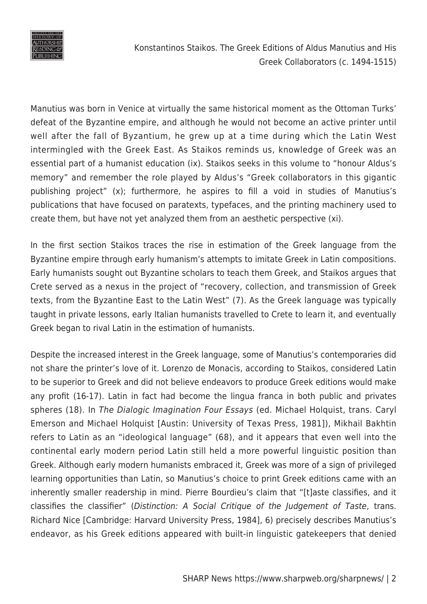

Konstantinos Staikos. The Greek Editions of Aldus Manutius and His Greek Collaborators (c. 1494-1515)

Manutius was born in Venice at virtually the same historical moment as the Ottoman Turks' defeat of the Byzantine empire, and although he would not become an active printer until well after the fall of Byzantium, he grew up at a time during which the Latin West intermingled with the Greek East. As Staikos reminds us, knowledge of Greek was an essential part of a humanist education (ix). Staikos seeks in this volume to "honour Aldus's memory" and remember the role played by Aldus's "Greek collaborators in this gigantic publishing project" (x); furthermore, he aspires to fill a void in studies of Manutius's publications that have focused on paratexts, typefaces, and the printing machinery used to create them, but have not yet analyzed them from an aesthetic perspective (xi).

In the first section Staikos traces the rise in estimation of the Greek language from the Byzantine empire through early humanism's attempts to imitate Greek in Latin compositions. Early humanists sought out Byzantine scholars to teach them Greek, and Staikos argues that Crete served as a nexus in the project of "recovery, collection, and transmission of Greek texts, from the Byzantine East to the Latin West" (7). As the Greek language was typically taught in private lessons, early Italian humanists travelled to Crete to learn it, and eventually Greek began to rival Latin in the estimation of humanists.

Despite the increased interest in the Greek language, some of Manutius's contemporaries did not share the printer's love of it. Lorenzo de Monacis, according to Staikos, considered Latin to be superior to Greek and did not believe endeavors to produce Greek editions would make any profit (16-17). Latin in fact had become the lingua franca in both public and privates spheres (18). In The Dialogic Imagination Four Essays (ed. Michael Holquist, trans. Caryl Emerson and Michael Holquist [Austin: University of Texas Press, 1981]), Mikhail Bakhtin refers to Latin as an "ideological language" (68), and it appears that even well into the continental early modern period Latin still held a more powerful linguistic position than Greek. Although early modern humanists embraced it, Greek was more of a sign of privileged learning opportunities than Latin, so Manutius's choice to print Greek editions came with an inherently smaller readership in mind. Pierre Bourdieu's claim that "[t]aste classifies, and it classifies the classifier" (Distinction: A Social Critique of the Judgement of Taste, trans. Richard Nice [Cambridge: Harvard University Press, 1984], 6) precisely describes Manutius's endeavor, as his Greek editions appeared with built-in linguistic gatekeepers that denied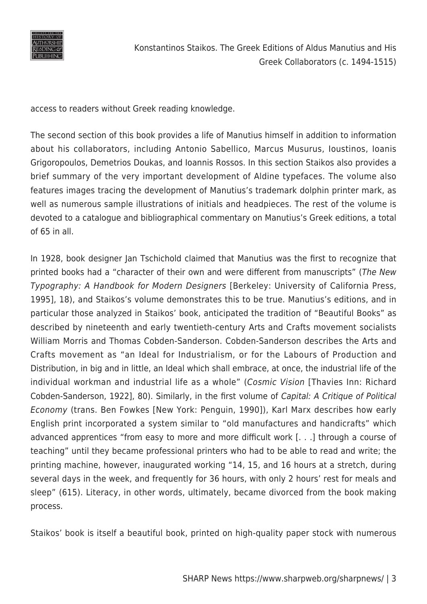

access to readers without Greek reading knowledge.

The second section of this book provides a life of Manutius himself in addition to information about his collaborators, including Antonio Sabellico, Marcus Musurus, Ioustinos, Ioanis Grigoropoulos, Demetrios Doukas, and Ioannis Rossos. In this section Staikos also provides a brief summary of the very important development of Aldine typefaces. The volume also features images tracing the development of Manutius's trademark dolphin printer mark, as well as numerous sample illustrations of initials and headpieces. The rest of the volume is devoted to a catalogue and bibliographical commentary on Manutius's Greek editions, a total of 65 in all.

In 1928, book designer Jan Tschichold claimed that Manutius was the first to recognize that printed books had a "character of their own and were different from manuscripts" (The New Typography: A Handbook for Modern Designers [Berkeley: University of California Press, 1995], 18), and Staikos's volume demonstrates this to be true. Manutius's editions, and in particular those analyzed in Staikos' book, anticipated the tradition of "Beautiful Books" as described by nineteenth and early twentieth-century Arts and Crafts movement socialists William Morris and Thomas Cobden-Sanderson. Cobden-Sanderson describes the Arts and Crafts movement as "an Ideal for Industrialism, or for the Labours of Production and Distribution, in big and in little, an Ideal which shall embrace, at once, the industrial life of the individual workman and industrial life as a whole" (Cosmic Vision [Thavies Inn: Richard Cobden-Sanderson, 1922], 80). Similarly, in the first volume of Capital: A Critique of Political Economy (trans. Ben Fowkes [New York: Penguin, 1990]), Karl Marx describes how early English print incorporated a system similar to "old manufactures and handicrafts" which advanced apprentices "from easy to more and more difficult work [. . .] through a course of teaching" until they became professional printers who had to be able to read and write; the printing machine, however, inaugurated working "14, 15, and 16 hours at a stretch, during several days in the week, and frequently for 36 hours, with only 2 hours' rest for meals and sleep" (615). Literacy, in other words, ultimately, became divorced from the book making process.

Staikos' book is itself a beautiful book, printed on high-quality paper stock with numerous